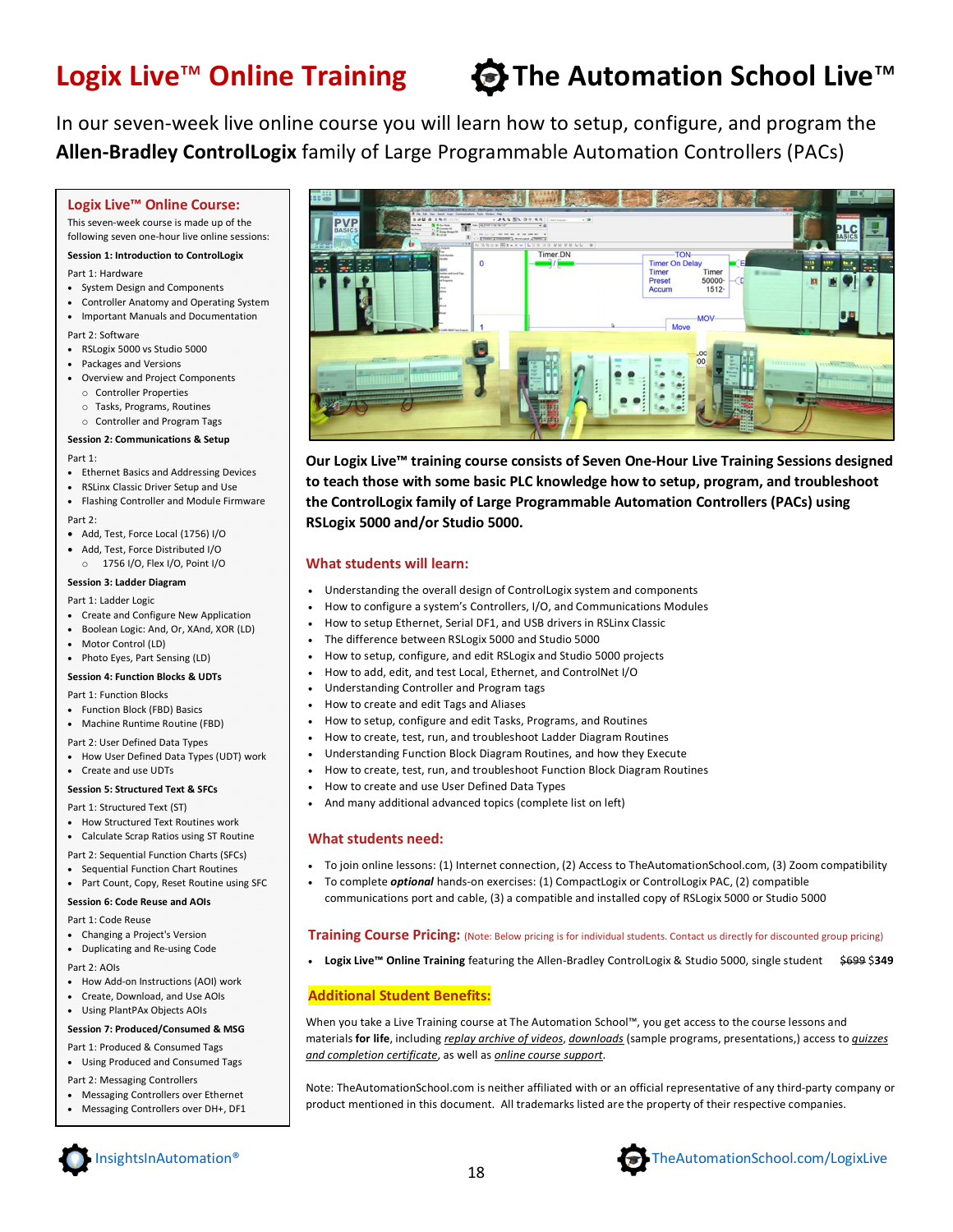## Logix Live<sup>™</sup> Online Training  $\qquad \bigoplus$  The Automation School Live<sup>™</sup>

In our seven-week live online course you will learn how to setup, configure, and program the **Allen-Bradley ControlLogix** family of Large Programmable Automation Controllers (PACs)

#### **Logix Live™ Online Course:**

This seven-week course is made up of the following seven one-hour live online sessions:

#### **Session 1: Introduction to ControlLogix**

Part 1: Hardware

- System Design and Components
- Controller Anatomy and Operating System
- Important Manuals and Documentation

Part 2: Software

- RSLogix 5000 vs Studio 5000
- Packages and Versions
- Overview and Project Components
- o Controller Properties
- o Tasks, Programs, Routines o Controller and Program Tags

#### **Session 2: Communications & Setup**

Part 1:

- Ethernet Basics and Addressing Devices
- RSLinx Classic Driver Setup and Use
- Flashing Controller and Module Firmware

Part 2:

- Add, Test, Force Local (1756) I/O
- Add, Test, Force Distributed I/O o 1756 I/O, Flex I/O, Point I/O
- **Session 3: Ladder Diagram**

#### Part 1: Ladder Logic

- Create and Configure New Application
- Boolean Logic: And, Or, XAnd, XOR (LD)
- Motor Control (LD)
- Photo Eyes, Part Sensing (LD)

#### **Session 4: Function Blocks & UDTs**

Part 1: Function Blocks

- Function Block (FBD) Basics
- Machine Runtime Routine (FBD)
- Part 2: User Defined Data Types
- How User Defined Data Types (UDT) work Create and use UDTs

#### **Session 5: Structured Text & SFCs**

Part 1: Structured Text (ST)

- How Structured Text Routines work
- Calculate Scrap Ratios using ST Routine
- Part 2: Sequential Function Charts (SFCs)
- Sequential Function Chart Routines
- Part Count, Copy, Reset Routine using SFC

#### **Session 6: Code Reuse and AOIs**

- Part 1: Code Reuse
- Changing a Project's Version
- Duplicating and Re-using Code
- Part 2: AOIs
- How Add-on Instructions (AOI) work
- Create, Download, and Use AOIs
- Using PlantPAx Objects AOIs

#### **Session 7: Produced/Consumed & MSG**

- Part 1: Produced & Consumed Tags
- Using Produced and Consumed Tags
- Part 2: Messaging Controllers
- Messaging Controllers over Ethernet
- Messaging Controllers over DH+, DF1



**Our Logix Live™ training course consists of Seven One-Hour Live Training Sessions designed to teach those with some basic PLC knowledge how to setup, program, and troubleshoot the ControlLogix family of Large Programmable Automation Controllers (PACs) using RSLogix 5000 and/or Studio 5000.**

#### **What students will learn:**

- Understanding the overall design of ControlLogix system and components
- How to configure a system's Controllers, I/O, and Communications Modules
- How to setup Ethernet, Serial DF1, and USB drivers in RSLinx Classic
- The difference between RSLogix 5000 and Studio 5000
- How to setup, configure, and edit RSLogix and Studio 5000 projects
- How to add, edit, and test Local, Ethernet, and ControlNet I/O
- Understanding Controller and Program tags
- How to create and edit Tags and Aliases
- How to setup, configure and edit Tasks, Programs, and Routines
- How to create, test, run, and troubleshoot Ladder Diagram Routines
- Understanding Function Block Diagram Routines, and how they Execute
- How to create, test, run, and troubleshoot Function Block Diagram Routines
- How to create and use User Defined Data Types
- And many additional advanced topics (complete list on left)

#### **What students need:**

- To join online lessons: (1) Internet connection, (2) Access to TheAutomationSchool.com, (3) Zoom compatibility
- To complete *optional* hands-on exercises: (1) CompactLogix or ControlLogix PAC, (2) compatible communications port and cable, (3) a compatible and installed copy of RSLogix 5000 or Studio 5000

#### **Training Course Pricing:** (Note: Below pricing is for individual students. Contact us directly for discounted group pricing)

**Logix Live™ Online Training** featuring the Allen-Bradley ControlLogix & Studio 5000, single student \$699 \$**349** 

### **Additional Student Benefits:**

When you take a Live Training course at The Automation School™, you get access to the course lessons and materials **for life**, including *replay archive of videos*, *downloads* (sample programs, presentations,) access to *quizzes and completion certificate*, as well as *online course support*.

Note: TheAutomationSchool.com is neither affiliated with or an official representative of any third-party company or product mentioned in this document. All trademarks listed are the property of their respective companies.